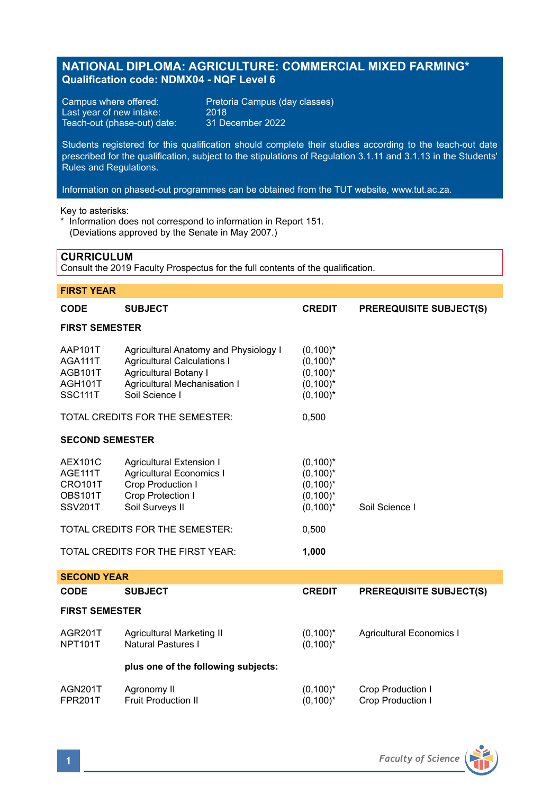# **NATIONAL DIPLOMA: AGRICULTURE: COMMERCIAL MIXED FARMING\* Qualification code: NDMX04 - NQF Level 6**

Last year of new intake: 2018<br>Teach-out (phase-out) date: 31 December 2022 Teach-out (phase-out) date:

Campus where offered: Pretoria Campus (day classes)

Students registered for this qualification should complete their studies according to the teach-out date prescribed for the qualification, subject to the stipulations of Regulation 3.1.11 and 3.1.13 in the Students' Rules and Regulations.

Information on phased-out programmes can be obtained from the TUT website, www.tut.ac.za.

Key to asterisks:

\* Information does not correspond to information in Report 151. (Deviations approved by the Senate in May 2007.)

# **CURRICULUM**

Consult the 2019 Faculty Prospectus for the full contents of the qualification.

# **FIRST YEAR CODE SUBJECT CREDIT PREREQUISITE SUBJECT(S) FIRST SEMESTER** AAP101T Agricultural Anatomy and Physiology I (0,100)\* Agricultural Calculations I AGB101T Agricultural Botany I (0,100)\*<br>AGH101T Agricultural Mechanisation I (0.100)\* AGH101T Agricultural Mechanisation I<br>Societive Soil Science I Soil Science I (0,100)\* TOTAL CREDITS FOR THE SEMESTER: 0,500 **SECOND SEMESTER** AEX101C Agricultural Extension I<br>AGE111T Agricultural Economics I (0.100)\* AGE111T Agricultural Economics I<br>CRO101T Crop Production I CRO101T Crop Production I (0,100)\*<br>
OBS101T Crop Protection I (0,100)\* OBS101T Crop Protection I (0,100)\*<br>SSV201T Soil Surveys II (0.100)\* Soil Surveys II (0.100)\* Soil Science I TOTAL CREDITS FOR THE SEMESTER: 0,500 TOTAL CREDITS FOR THE FIRST YEAR: **1,000 SECOND YEAR CODE SUBJECT CREDIT PREREQUISITE SUBJECT(S) FIRST SEMESTER** AGR201T Agricultural Marketing II (0,100)\* Agricultural Economics I<br>NPT101T Natural Pastures I (0.100)\* (0.100)\* Natural Pastures I (0,100)\*

# **plus one of the following subjects:**

| AGN201T | Agronomy II                | $(0,100)^*$ | Crop Production I |
|---------|----------------------------|-------------|-------------------|
| FPR201T | <b>Fruit Production II</b> | $(0,100)^*$ | Crop Production I |

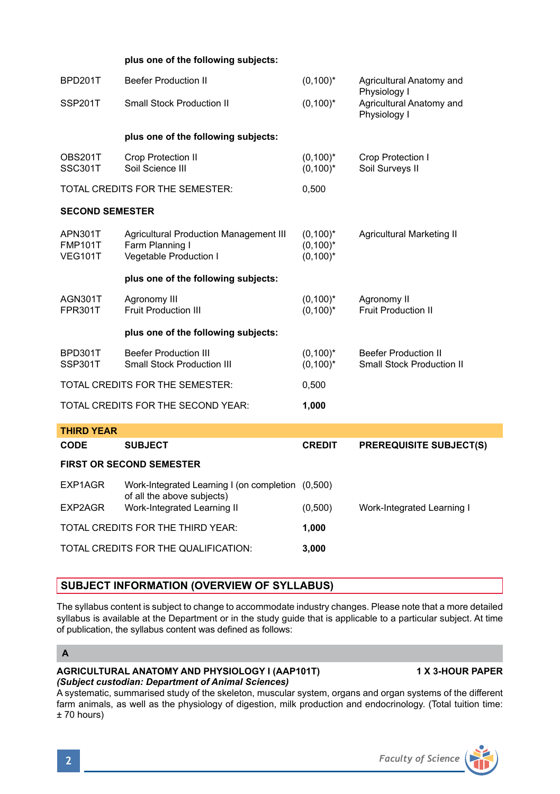# **plus one of the following subjects:**

| BPD201T                                     | <b>Beefer Production II</b>                                                         | $(0,100)^*$                               | Agricultural Anatomy and<br>Physiology I                        |  |  |
|---------------------------------------------|-------------------------------------------------------------------------------------|-------------------------------------------|-----------------------------------------------------------------|--|--|
| SSP201T                                     | <b>Small Stock Production II</b>                                                    | $(0,100)^*$                               | Agricultural Anatomy and<br>Physiology I                        |  |  |
|                                             | plus one of the following subjects:                                                 |                                           |                                                                 |  |  |
| OBS201T<br><b>SSC301T</b>                   | Crop Protection II<br>Soil Science III                                              | $(0,100)^*$<br>$(0,100)^*$                | Crop Protection I<br>Soil Surveys II                            |  |  |
| TOTAL CREDITS FOR THE SEMESTER:             |                                                                                     | 0,500                                     |                                                                 |  |  |
| <b>SECOND SEMESTER</b>                      |                                                                                     |                                           |                                                                 |  |  |
| APN301T<br><b>FMP101T</b><br><b>VEG101T</b> | Agricultural Production Management III<br>Farm Planning I<br>Vegetable Production I | $(0,100)^*$<br>$(0,100)^*$<br>$(0,100)^*$ | <b>Agricultural Marketing II</b>                                |  |  |
|                                             | plus one of the following subjects:                                                 |                                           |                                                                 |  |  |
| AGN301T<br><b>FPR301T</b>                   | Agronomy III<br>Fruit Production III                                                | $(0,100)^*$<br>$(0,100)^*$                | Agronomy II<br><b>Fruit Production II</b>                       |  |  |
|                                             | plus one of the following subjects:                                                 |                                           |                                                                 |  |  |
| BPD301T<br>SSP301T                          | <b>Beefer Production III</b><br><b>Small Stock Production III</b>                   | $(0,100)^*$<br>$(0,100)^*$                | <b>Beefer Production II</b><br><b>Small Stock Production II</b> |  |  |
| TOTAL CREDITS FOR THE SEMESTER:             |                                                                                     | 0,500                                     |                                                                 |  |  |
| TOTAL CREDITS FOR THE SECOND YEAR:          |                                                                                     | 1,000                                     |                                                                 |  |  |
| <b>THIRD YEAR</b>                           |                                                                                     |                                           |                                                                 |  |  |
| CODE                                        | <b>SUBJECT</b>                                                                      | <b>CREDIT</b>                             | <b>PREREQUISITE SUBJECT(S)</b>                                  |  |  |
| <b>FIRST OR SECOND SEMESTER</b>             |                                                                                     |                                           |                                                                 |  |  |
| EXP1AGR                                     | Work-Integrated Learning I (on completion (0,500)<br>of all the above subjects)     |                                           |                                                                 |  |  |
| EXP2AGR                                     | Work-Integrated Learning II                                                         | (0,500)                                   | Work-Integrated Learning I                                      |  |  |
| TOTAL CREDITS FOR THE THIRD YEAR:           |                                                                                     | 1,000                                     |                                                                 |  |  |
| TOTAL CREDITS FOR THE QUALIFICATION:        |                                                                                     | 3,000                                     |                                                                 |  |  |

# **SUBJECT INFORMATION (OVERVIEW OF SYLLABUS)**

The syllabus content is subject to change to accommodate industry changes. Please note that a more detailed syllabus is available at the Department or in the study guide that is applicable to a particular subject. At time of publication, the syllabus content was defined as follows:

# **A**

#### **AGRICULTURAL ANATOMY AND PHYSIOLOGY I (AAP101T) 1 X 3-HOUR PAPER** *(Subject custodian: Department of Animal Sciences)*

A systematic, summarised study of the skeleton, muscular system, organs and organ systems of the different farm animals, as well as the physiology of digestion, milk production and endocrinology. (Total tuition time: ± 70 hours)

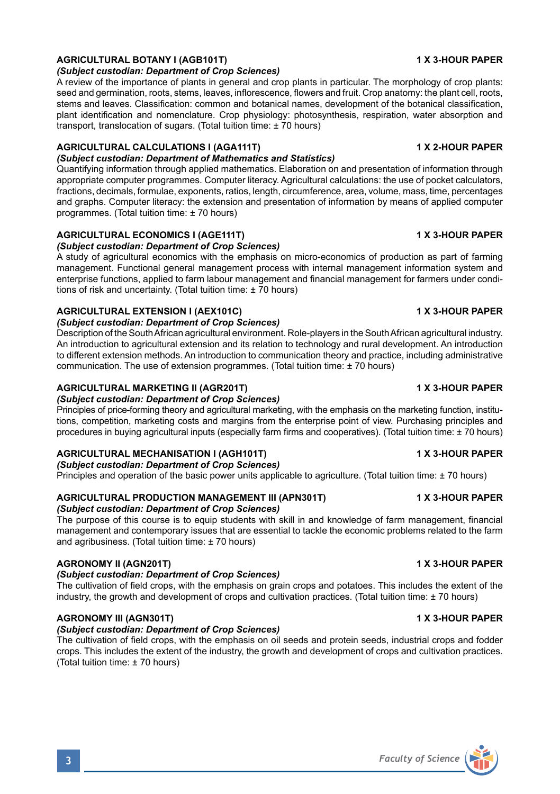# **AGRICULTURAL BOTANY I (AGB101T) 1 X 3-HOUR PAPER**

*(Subject custodian: Department of Crop Sciences)*

A review of the importance of plants in general and crop plants in particular. The morphology of crop plants: seed and germination, roots, stems, leaves, inflorescence, flowers and fruit. Crop anatomy: the plant cell, roots stems and leaves. Classification: common and botanical names, development of the botanical classification, plant identification and nomenclature. Crop physiology: photosynthesis, respiration, water absorption and transport, translocation of sugars. (Total tuition time: ± 70 hours)

#### **AGRICULTURAL CALCULATIONS I (AGA111T) 1 X 2-HOUR PAPER** *(Subject custodian: Department of Mathematics and Statistics)*

Quantifying information through applied mathematics. Elaboration on and presentation of information through appropriate computer programmes. Computer literacy. Agricultural calculations: the use of pocket calculators, fractions, decimals, formulae, exponents, ratios, length, circumference, area, volume, mass, time, percentages and graphs. Computer literacy: the extension and presentation of information by means of applied computer programmes. (Total tuition time: ± 70 hours)

# **AGRICULTURAL ECONOMICS I (AGE111T) 1 X 3-HOUR PAPER**

*(Subject custodian: Department of Crop Sciences)*

A study of agricultural economics with the emphasis on micro-economics of production as part of farming management. Functional general management process with internal management information system and enterprise functions, applied to farm labour management and financial management for farmers under conditions of risk and uncertainty. (Total tuition time: ± 70 hours)

### **AGRICULTURAL EXTENSION I (AEX101C) 1 X 3-HOUR PAPER**

#### *(Subject custodian: Department of Crop Sciences)*

Description of the South African agricultural environment. Role-players in the South African agricultural industry. An introduction to agricultural extension and its relation to technology and rural development. An introduction to different extension methods. An introduction to communication theory and practice, including administrative communication. The use of extension programmes. (Total tuition time: ± 70 hours)

### **AGRICULTURAL MARKETING II (AGR201T) 1 X 3-HOUR PAPER**

### *(Subject custodian: Department of Crop Sciences)*

Principles of price-forming theory and agricultural marketing, with the emphasis on the marketing function, institutions, competition, marketing costs and margins from the enterprise point of view. Purchasing principles and procedures in buying agricultural inputs (especially farm firms and cooperatives). (Total tuition time: ± 70 hours)

## **AGRICULTURAL MECHANISATION I (AGH101T) 1 X 3-HOUR PAPER**

### *(Subject custodian: Department of Crop Sciences)*

Principles and operation of the basic power units applicable to agriculture. (Total tuition time: ± 70 hours)

#### **AGRICULTURAL PRODUCTION MANAGEMENT III (APN301T) 1 X 3-HOUR PAPER** *(Subject custodian: Department of Crop Sciences)*

The purpose of this course is to equip students with skill in and knowledge of farm management, financial management and contemporary issues that are essential to tackle the economic problems related to the farm and agribusiness. (Total tuition time: ± 70 hours)

### **AGRONOMY II (AGN201T) 1 X 3-HOUR PAPER**

### *(Subject custodian: Department of Crop Sciences)*

The cultivation of field crops, with the emphasis on grain crops and potatoes. This includes the extent of the industry, the growth and development of crops and cultivation practices. (Total tuition time: ± 70 hours)

# **AGRONOMY III (AGN301T) 1 X 3-HOUR PAPER**

### *(Subject custodian: Department of Crop Sciences)*

The cultivation of field crops, with the emphasis on oil seeds and protein seeds, industrial crops and fodder crops. This includes the extent of the industry, the growth and development of crops and cultivation practices. (Total tuition time: ± 70 hours)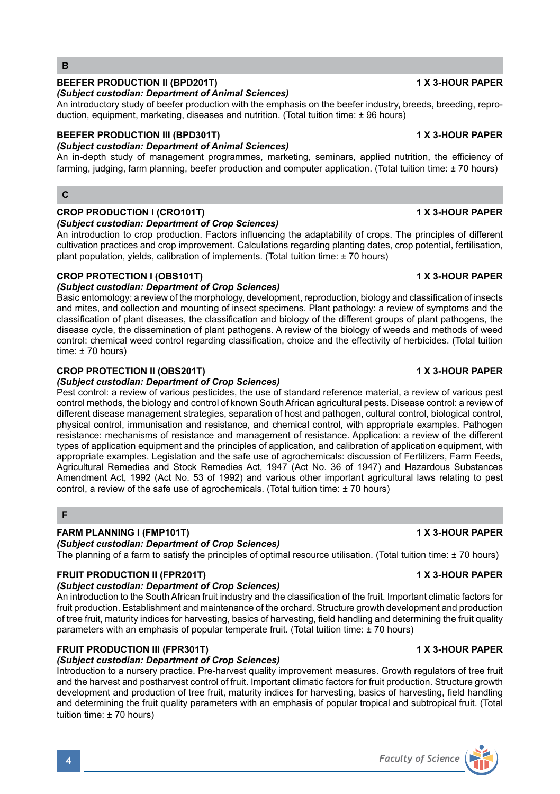#### cultivation practices and crop improvement. Calculations regarding planting dates, crop potential, fertilisation, plant population, yields, calibration of implements. (Total tuition time: ± 70 hours)

# **CROP PROTECTION I (OBS101T) 1 X 3-HOUR PAPER**

*(Subject custodian: Department of Crop Sciences)* Basic entomology: a review of the morphology, development, reproduction, biology and classification of insects and mites, and collection and mounting of insect specimens. Plant pathology: a review of symptoms and the classification of plant diseases, the classification and biology of the different groups of plant pathogens, the disease cycle, the dissemination of plant pathogens. A review of the biology of weeds and methods of weed control: chemical weed control regarding classification, choice and the effectivity of herbicides. (Total tuition time: ± 70 hours)

An introductory study of beefer production with the emphasis on the beefer industry, breeds, breeding, repro-

**BEEFER PRODUCTION III (BPD301T) 1 X 3-HOUR PAPER**

An in-depth study of management programmes, marketing, seminars, applied nutrition, the efficiency of farming, judging, farm planning, beefer production and computer application. (Total tuition time: ± 70 hours)

**CROP PRODUCTION I (CRO101T) 1 X 3-HOUR PAPER**

duction, equipment, marketing, diseases and nutrition. (Total tuition time: ± 96 hours)

# **CROP PROTECTION II (OBS201T) 1 X 3-HOUR PAPER**

### *(Subject custodian: Department of Crop Sciences)*

*(Subject custodian: Department of Animal Sciences)*

*(Subject custodian: Department of Animal Sciences)*

*(Subject custodian: Department of Crop Sciences)*

Pest control: a review of various pesticides, the use of standard reference material, a review of various pest control methods, the biology and control of known South African agricultural pests. Disease control: a review of different disease management strategies, separation of host and pathogen, cultural control, biological control, physical control, immunisation and resistance, and chemical control, with appropriate examples. Pathogen resistance: mechanisms of resistance and management of resistance. Application: a review of the different types of application equipment and the principles of application, and calibration of application equipment, with appropriate examples. Legislation and the safe use of agrochemicals: discussion of Fertilizers, Farm Feeds, Agricultural Remedies and Stock Remedies Act, 1947 (Act No. 36 of 1947) and Hazardous Substances Amendment Act, 1992 (Act No. 53 of 1992) and various other important agricultural laws relating to pest control, a review of the safe use of agrochemicals. (Total tuition time: ± 70 hours)

# **F**

# **FARM PLANNING I (FMP101T) 1 X 3-HOUR PAPER**

# *(Subject custodian: Department of Crop Sciences)*

The planning of a farm to satisfy the principles of optimal resource utilisation. (Total tuition time: ± 70 hours)

# **FRUIT PRODUCTION II (FPR201T) 1 X 3-HOUR PAPER**

# *(Subject custodian: Department of Crop Sciences)*

An introduction to the South African fruit industry and the classification of the fruit. Important climatic factors for fruit production. Establishment and maintenance of the orchard. Structure growth development and production of tree fruit, maturity indices for harvesting, basics of harvesting, field handling and determining the fruit quality parameters with an emphasis of popular temperate fruit. (Total tuition time: ± 70 hours)

# **FRUIT PRODUCTION III (FPR301T) 1 X 3-HOUR PAPER**

# *(Subject custodian: Department of Crop Sciences)*

Introduction to a nursery practice. Pre-harvest quality improvement measures. Growth regulators of tree fruit and the harvest and postharvest control of fruit. Important climatic factors for fruit production. Structure growth development and production of tree fruit, maturity indices for harvesting, basics of harvesting, field handling and determining the fruit quality parameters with an emphasis of popular tropical and subtropical fruit. (Total tuition time: ± 70 hours)

# An introduction to crop production. Factors influencing the adaptability of crops. The principles of different



# **BEEFER PRODUCTION II (BPD201T) 1 X 3-HOUR PAPER**

**B**

**C**